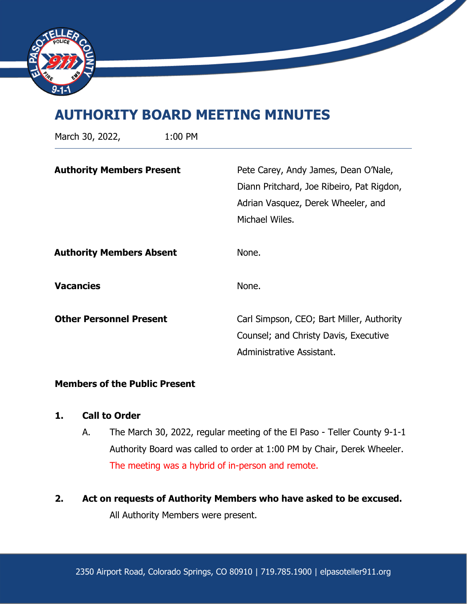

# **AUTHORITY BOARD MEETING MINUTES**

| March 30, 2022,                  | 1:00 PM |                                                                                                                                           |
|----------------------------------|---------|-------------------------------------------------------------------------------------------------------------------------------------------|
| <b>Authority Members Present</b> |         | Pete Carey, Andy James, Dean O'Nale,<br>Diann Pritchard, Joe Ribeiro, Pat Rigdon,<br>Adrian Vasquez, Derek Wheeler, and<br>Michael Wiles. |
| <b>Authority Members Absent</b>  |         | None.                                                                                                                                     |
| <b>Vacancies</b>                 |         | None.                                                                                                                                     |
| <b>Other Personnel Present</b>   |         | Carl Simpson, CEO; Bart Miller, Authority<br>Counsel; and Christy Davis, Executive<br>Administrative Assistant.                           |

## **Members of the Public Present**

## **1. Call to Order**

- A. The March 30, 2022, regular meeting of the El Paso Teller County 9-1-1 Authority Board was called to order at 1:00 PM by Chair, Derek Wheeler. The meeting was a hybrid of in-person and remote.
- **2. Act on requests of Authority Members who have asked to be excused.**

All Authority Members were present.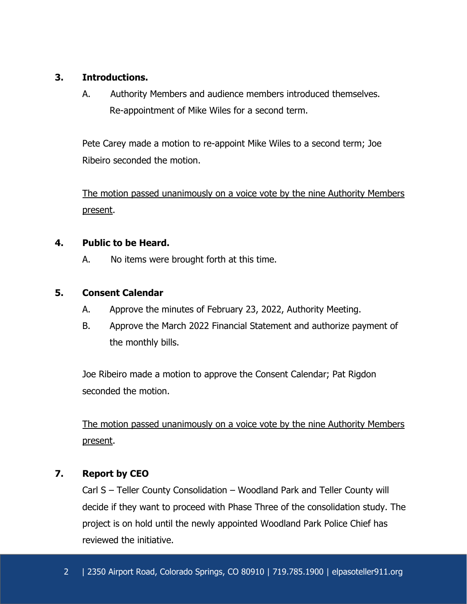# **3. Introductions.**

A. Authority Members and audience members introduced themselves. Re-appointment of Mike Wiles for a second term.

Pete Carey made a motion to re-appoint Mike Wiles to a second term; Joe Ribeiro seconded the motion.

The motion passed unanimously on a voice vote by the nine Authority Members present.

# **4. Public to be Heard.**

A. No items were brought forth at this time.

# **5. Consent Calendar**

- A. Approve the minutes of February 23, 2022, Authority Meeting.
- B. Approve the March 2022 Financial Statement and authorize payment of the monthly bills.

Joe Ribeiro made a motion to approve the Consent Calendar; Pat Rigdon seconded the motion.

The motion passed unanimously on a voice vote by the nine Authority Members present.

# **7. Report by CEO**

Carl S – Teller County Consolidation – Woodland Park and Teller County will decide if they want to proceed with Phase Three of the consolidation study. The project is on hold until the newly appointed Woodland Park Police Chief has reviewed the initiative.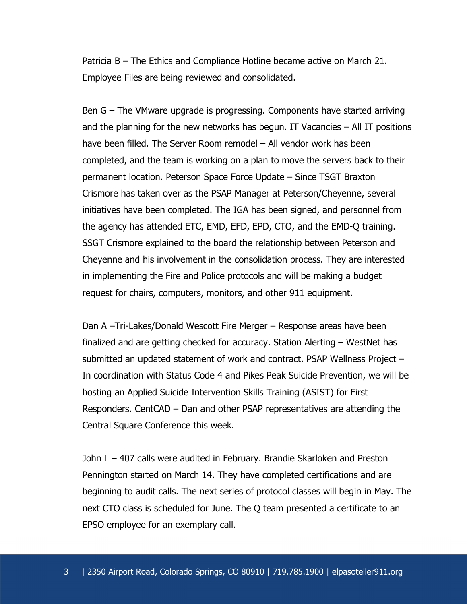Patricia B – The Ethics and Compliance Hotline became active on March 21. Employee Files are being reviewed and consolidated.

Ben G – The VMware upgrade is progressing. Components have started arriving and the planning for the new networks has begun. IT Vacancies – All IT positions have been filled. The Server Room remodel – All vendor work has been completed, and the team is working on a plan to move the servers back to their permanent location. Peterson Space Force Update – Since TSGT Braxton Crismore has taken over as the PSAP Manager at Peterson/Cheyenne, several initiatives have been completed. The IGA has been signed, and personnel from the agency has attended ETC, EMD, EFD, EPD, CTO, and the EMD-Q training. SSGT Crismore explained to the board the relationship between Peterson and Cheyenne and his involvement in the consolidation process. They are interested in implementing the Fire and Police protocols and will be making a budget request for chairs, computers, monitors, and other 911 equipment.

Dan A –Tri-Lakes/Donald Wescott Fire Merger – Response areas have been finalized and are getting checked for accuracy. Station Alerting – WestNet has submitted an updated statement of work and contract. PSAP Wellness Project – In coordination with Status Code 4 and Pikes Peak Suicide Prevention, we will be hosting an Applied Suicide Intervention Skills Training (ASIST) for First Responders. CentCAD – Dan and other PSAP representatives are attending the Central Square Conference this week.

John L – 407 calls were audited in February. Brandie Skarloken and Preston Pennington started on March 14. They have completed certifications and are beginning to audit calls. The next series of protocol classes will begin in May. The next CTO class is scheduled for June. The Q team presented a certificate to an EPSO employee for an exemplary call.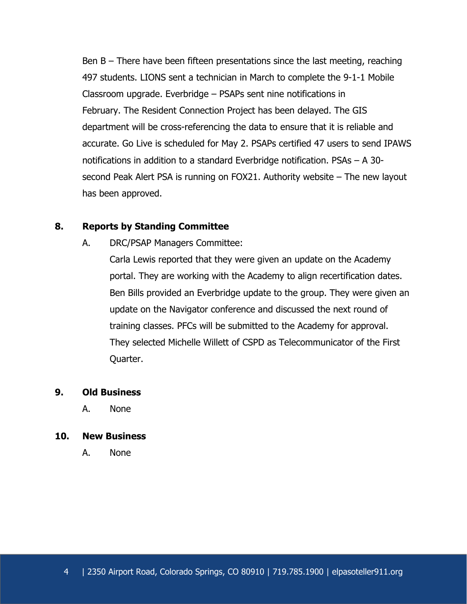Ben B – There have been fifteen presentations since the last meeting, reaching 497 students. LIONS sent a technician in March to complete the 9-1-1 Mobile Classroom upgrade. Everbridge – PSAPs sent nine notifications in February. The Resident Connection Project has been delayed. The GIS department will be cross-referencing the data to ensure that it is reliable and accurate. Go Live is scheduled for May 2. PSAPs certified 47 users to send IPAWS notifications in addition to a standard Everbridge notification. PSAs – A 30 second Peak Alert PSA is running on FOX21. Authority website – The new layout has been approved.

### **8. Reports by Standing Committee**

A. DRC/PSAP Managers Committee:

Carla Lewis reported that they were given an update on the Academy portal. They are working with the Academy to align recertification dates. Ben Bills provided an Everbridge update to the group. They were given an update on the Navigator conference and discussed the next round of training classes. PFCs will be submitted to the Academy for approval. They selected Michelle Willett of CSPD as Telecommunicator of the First Quarter.

### **9. Old Business**

A. None

#### **10. New Business**

A. None